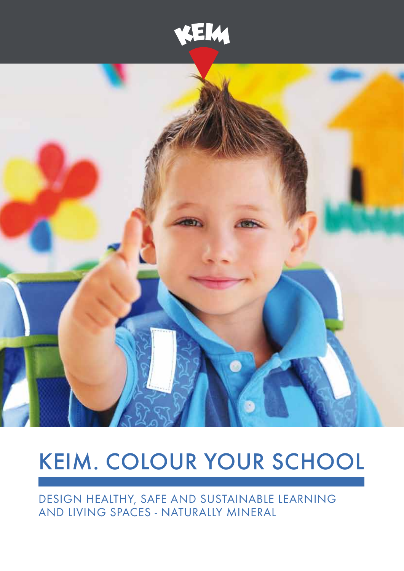



# KEIM. Colour your school

Design healthy, safe and sustainable learning and living spaces - naturally mineral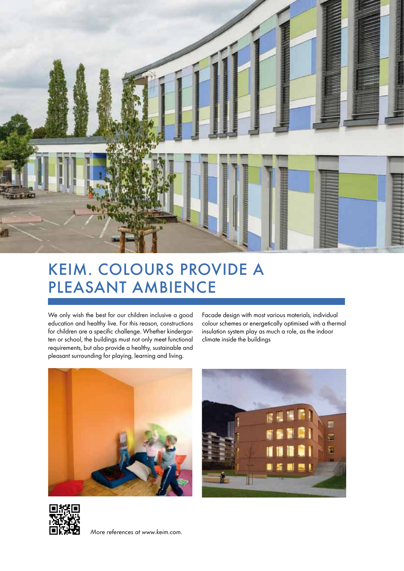

### KEIM. Colours provide a pleasant ambience

We only wish the best for our children inclusive a good education and healthy live. For this reason, constructions for children are a specific challenge. Whether kindergarten or school, the buildings must not only meet functional requirements, but also provide a healthy, sustainable and pleasant surrounding for playing, learning and living.

Facade design with most various materials, individual colour schemes or energetically optimised with a thermal insulation system play as much a role, as the indoor climate inside the buildings







*More references at www.keim.com.*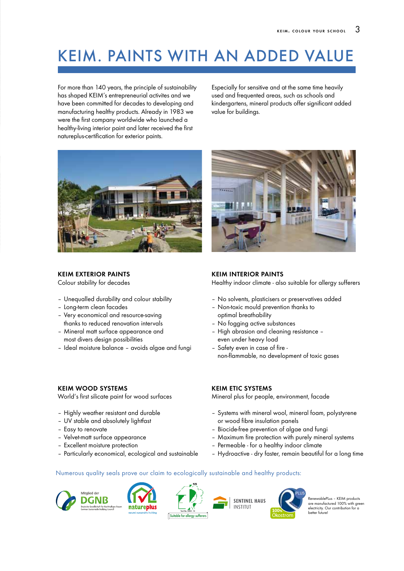## KEIM. Paints with an added value

For more than 140 years, the principle of sustainability has shaped KEIM's entrepreneurial activites and we have been committed for decades to developing and manufacturing healthy products. Already in 1983 we were the first company worldwide who launched a healthy-living interior paint and later received the first natureplus-certification for exterior paints.

Especially for sensitive and at the same time heavily used and frequented areas, such as schools and kindergartens, mineral products offer significant added value for buildings.



#### KEIM EXTERIOR PAINTS

Colour stability for decades

- Unequalled durability and colour stability
- Long-term clean facades
- Very economical and resource-saving thanks to reduced renovation intervals
- Mineral matt surface appearance and most divers design possibilities
- Ideal moisture balance avoids algae and fungi



World's first silicate paint for wood surfaces

- Highly weather resistant and durable
- UV stable and absolutely lightfast
- Easy to renovate
- Velvet-matt surface appearance
- Excellent moisture protection
- Particularly economical, ecological and sustainable



#### KEIM INTERIOR PAINTS

Healthy indoor climate - also suitable for allergy sufferers

- No solvents, plasticisers or preservatives added
- Non-toxic mould prevention thanks to optimal breathability
- No fogging active substances
- High abrasion and cleaning resistance even under heavy load
- Safety even in case of fire non-flammable, no development of toxic gases

#### KEIM ETIC SYSTEMS

Mineral plus for people, environment, facade

- Systems with mineral wool, mineral foam, polystyrene or wood fibre insulation panels
- Biocide-free prevention of algae and fungi
- Maximum fire protection with purely mineral systems
- Permeable for a healthy indoor climate
- Hydroactive dry faster, remain beautiful for a long time

#### Numerous quality seals prove our claim to ecologically sustainable and healthy products:









RenewablePLus – KEIM products are manufactured 100% with green electricity. Our contribution for a better future!